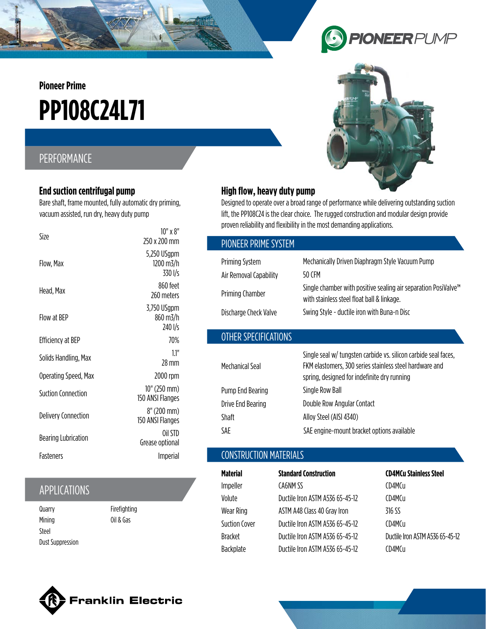**Pioneer Prime**

# **PP108C24L71**

# PERFORMANCE

#### **End suction centrifugal pump**

Bare shaft, frame mounted, fully automatic dry priming, vacuum assisted, run dry, heavy duty pump

| Size                       | $10''$ x $8''$<br>250 x 200 mm      |
|----------------------------|-------------------------------------|
| Flow, Max                  | 5,250 USgpm<br>1200 m3/h<br>330 I/s |
| Head, Max                  | 860 feet<br>260 meters              |
| Flow at BEP                | 3,750 USgpm<br>860 m3/h<br>240 I/s  |
| <b>Efficiency at BEP</b>   | 70%                                 |
| Solids Handling, Max       | 11"<br>28 mm                        |
| Operating Speed, Max       | 2000 rpm                            |
| <b>Suction Connection</b>  | 10" (250 mm)<br>150 ANSI Flanges    |
| <b>Delivery Connection</b> | 8" (200 mm)<br>150 ANSI Flanges     |
| <b>Bearing Lubrication</b> | Oil STD<br>Grease optional          |
| <b>Fasteners</b>           | Imperial                            |

## APPLICATIONS

**Quarry** Mining Steel Dust Suppression Firefighting Oil & Gas





#### **High flow, heavy duty pump**

Designed to operate over a broad range of performance while delivering outstanding suction lift, the PP108C24 is the clear choice. The rugged construction and modular design provide proven reliability and flexibility in the most demanding applications.

| PIONEER PRIME SYSTEM                            |                                                                                                                          |
|-------------------------------------------------|--------------------------------------------------------------------------------------------------------------------------|
| <b>Priming System</b><br>Air Removal Capability | Mechanically Driven Diaphragm Style Vacuum Pump<br>50 CFM                                                                |
| Priming Chamber                                 | Single chamber with positive sealing air separation PosiValve <sup>™</sup><br>with stainless steel float ball & linkage. |
| Discharge Check Valve                           | Swing Style - ductile iron with Buna-n Disc                                                                              |
| OTHER SPECIFICATIONS                            |                                                                                                                          |

|                   | Single seal w/ tungsten carbide vs. silicon carbide seal faces, |
|-------------------|-----------------------------------------------------------------|
| Mechanical Seal   | FKM elastomers, 300 series stainless steel hardware and         |
|                   | spring, designed for indefinite dry running                     |
| Pump End Bearing  | Single Row Ball                                                 |
| Drive End Bearing | Double Row Angular Contact                                      |
| <b>Shaft</b>      | Alloy Steel (AISI 4340)                                         |
| SAE               | SAE engine-mount bracket options available                      |

## CONSTRUCTION MATERIALS

| Material             | <b>Standard Construction</b>    | <b>CD4MCu Stainless Steel</b>   |
|----------------------|---------------------------------|---------------------------------|
| Impeller             | CA6NM SS                        | CD4MCu                          |
| Volute               | Ductile Iron ASTM A536 65-45-12 | CD4MCu                          |
| Wear Ring            | ASTM A48 Class 40 Gray Iron     | 316 SS                          |
| <b>Suction Cover</b> | Ductile Iron ASTM A536 65-45-12 | CD4MCu                          |
| <b>Bracket</b>       | Ductile Iron ASTM A536 65-45-12 | Ductile Iron ASTM A536 65-45-12 |
| Backplate            | Ductile Iron ASTM A536 65-45-12 | CD4MCu                          |